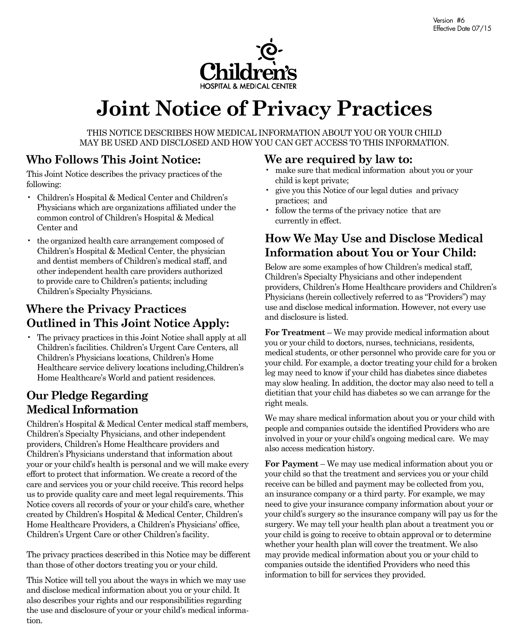

# **Joint Notice of Privacy Practices**

THIS NOTICE DESCRIBES HOW MEDICAL INFORMATION ABOUT YOU OR YOUR CHILD MAY BE USED AND DISCLOSED AND HOW YOU CAN GET ACCESS TO THIS INFORMATION. 

### **Who Follows This Joint Notice:**

This Joint Notice describes the privacy practices of the following:

- Children's Hospital & Medical Center and Children's Physicians which are organizations affiliated under the common control of Children's Hospital & Medical Center and
- the organized health care arrangement composed of Children's Hospital & Medical Center, the physician and dentist members of Children's medical staff, and other independent health care providers authorized to provide care to Children's patients; including Children's Specialty Physicians.

# **Where the Privacy Practices Outlined in This Joint Notice Apply:**

• The privacy practices in this Joint Notice shall apply at all Children's facilities. Children's Urgent Care Centers, all Children's Physicians locations, Children's Home Healthcare service delivery locations including,Children's Home Healthcare's World and patient residences.

# **Our Pledge Regarding Medical Information**

Children's Hospital & Medical Center medical staff members, Children's Specialty Physicians, and other independent providers, Children's Home Healthcare providers and Children's Physicians understand that information about your or your child's health is personal and we will make every effort to protect that information. We create a record of the care and services you or your child receive. This record helps us to provide quality care and meet legal requirements. This Notice covers all records of your or your child's care, whether created by Children's Hospital & Medical Center, Children's Home Healthcare Providers, a Children's Physicians' office, Children's Urgent Care or other Children's facility.

The privacy practices described in this Notice may be different than those of other doctors treating you or your child.

This Notice will tell you about the ways in which we may use and disclose medical information about you or your child. It also describes your rights and our responsibilities regarding the use and disclosure of your or your child's medical information.

### **We are required by law to:**

- make sure that medical information about you or your child is kept private;
- give you this Notice of our legal duties and privacy practices; and
- follow the terms of the privacy notice that are currently in effect.

# **How We May Use and Disclose Medical Information about You or Your Child:**

Below are some examples of how Children's medical staff, Children's Specialty Physicians and other independent providers, Children's Home Healthcare providers and Children's Physicians (herein collectively referred to as "Providers") may use and disclose medical information. However, not every use and disclosure is listed.

**For Treatment** – We may provide medical information about you or your child to doctors, nurses, technicians, residents, medical students, or other personnel who provide care for you or your child. For example, a doctor treating your child for a broken leg may need to know if your child has diabetes since diabetes may slow healing. In addition, the doctor may also need to tell a dietitian that your child has diabetes so we can arrange for the right meals.

We may share medical information about you or your child with people and companies outside the identified Providers who are involved in your or your child's ongoing medical care. We may also access medication history.

**For Payment** – We may use medical information about you or your child so that the treatment and services you or your child receive can be billed and payment may be collected from you, an insurance company or a third party. For example, we may need to give your insurance company information about your or your child's surgery so the insurance company will pay us for the surgery. We may tell your health plan about a treatment you or your child is going to receive to obtain approval or to determine whether your health plan will cover the treatment. We also may provide medical information about you or your child to companies outside the identified Providers who need this information to bill for services they provided.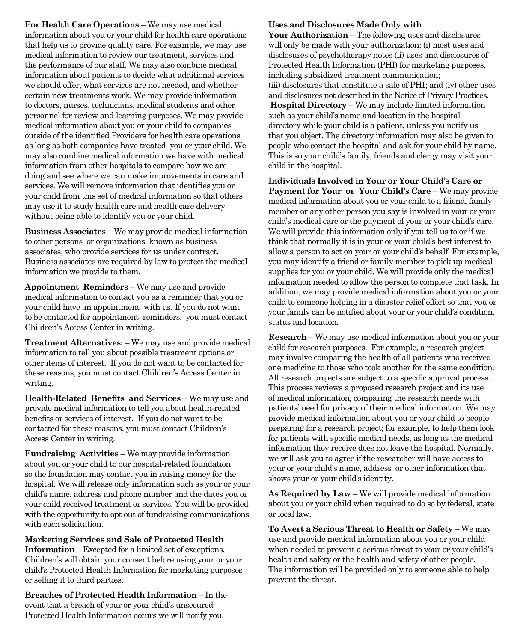**For Health Care Operations** – We may use medical information about you or your child for health care operations that help us to provide quality care. For example, we may use medical information to review our treatment, services and the performance of our staff. We may also combine medical information about patients to decide what additional services we should offer, what services are not needed, and whether certain new treatments work. We may provide information to doctors, nurses, technicians, medical students and other personnel for review and learning purposes. We may provide medical information about you or your child to companies outside of the identified Providers for health care operations as long as both companies have treated you or your child. We may also combine medical information we have with medical information from other hospitals to compare how we are doing and see where we can make improvements in care and services. We will remove information that identifies you or your child from this set of medical information so that others may use it to study health care and health care delivery without being able to identify you or your child.

**Business Associates** – We may provide medical information to other persons or organizations, known as business associates, who provide services for us under contract. Business associates are required by law to protect the medical information we provide to them.

**Appointment Reminders** – We may use and provide medical information to contact you as a reminder that you or your child have an appointment with us. If you do not want to be contacted for appointment reminders, you must contact Children's Access Center in writing.

**Treatment Alternatives:** – We may use and provide medical information to tell you about possible treatment options or other items of interest. If you do not want to be contacted for these reasons, you must contact Children's Access Center in writing.

**Health-Related Benefits and Services** – We may use and provide medical information to tell you about health-related benefits or services of interest. If you do not want to be contacted for these reasons, you must contact Children's Access Center in writing.

**Fundraising Activities – We may provide information** about you or your child to our hospital-related foundation so the foundation may contact you in raising money for the hospital. We will release only information such as your or your child's name, address and phone number and the dates you or your child received treatment or services. You will be provided with the opportunity to opt out of fundraising communications with each solicitation.

#### **Marketing Services and Sale of Protected Health**

**Information** – Excepted for a limited set of exceptions, Children's will obtain your consent before using your or your child's Protected Health Information for marketing purposes or selling it to third parties.

**Breaches of Protected Health Information** – In the event that a breach of your or your child's unsecured Protected Health Information occurs we will notify you.

#### **Uses and Disclosures Made Only with**

**Your Authorization** – The following uses and disclosures will only be made with your authorization: (i) most uses and disclosures of psychotherapy notes (ii) uses and disclosures of Protected Health Information (PHI) for marketing purposes, including subsidized treatment communication; (iii) disclosures that constitute a sale of PHI; and (iv) other uses and disclosures not described in the Notice of Privacy Practices. **Hospital Directory** – We may include limited information such as your child's name and location in the hospital directory while your child is a patient, unless you notify us that you object. The directory information may also be given to people who contact the hospital and ask for your child by name. This is so your child's family, friends and clergy may visit your child in the hospital.

**Individuals Involved in Your or Your Child's Care or Payment for Your or Your Child's Care** – We may provide medical information about you or your child to a friend, family member or any other person you say is involved in your or your child's medical care or the payment of your or your child's care. We will provide this information only if you tell us to or if we think that normally it is in your or your child's best interest to allow a person to act on your or your child's behalf. For example, you may identify a friend or family member to pick up medical supplies for you or your child. We will provide only the medical information needed to allow the person to complete that task. In addition, we may provide medical information about you or your child to someone helping in a disaster relief effort so that you or your family can be notified about your or your child's condition, status and location.

**Research** – We may use medical information about you or your child for research purposes. For example, a research project may involve comparing the health of all patients who received one medicine to those who took another for the same condition. All research projects are subject to a specific approval process. This process reviews a proposed research project and its use of medical information, comparing the research needs with patients' need for privacy of their medical information. We may provide medical information about you or your child to people preparing for a research project; for example, to help them look for patients with specific medical needs, as long as the medical information they receive does not leave the hospital. Normally, we will ask you to agree if the researcher will have access to your or your child's name, address or other information that shows your or your child's identity.

**As Required by Law** – We will provide medical information about you or your child when required to do so by federal, state or local law.

**To Avert a Serious Threat to Health or Safety** – We may use and provide medical information about you or your child when needed to prevent a serious threat to your or your child's health and safety or the health and safety of other people. The information will be provided only to someone able to help prevent the threat.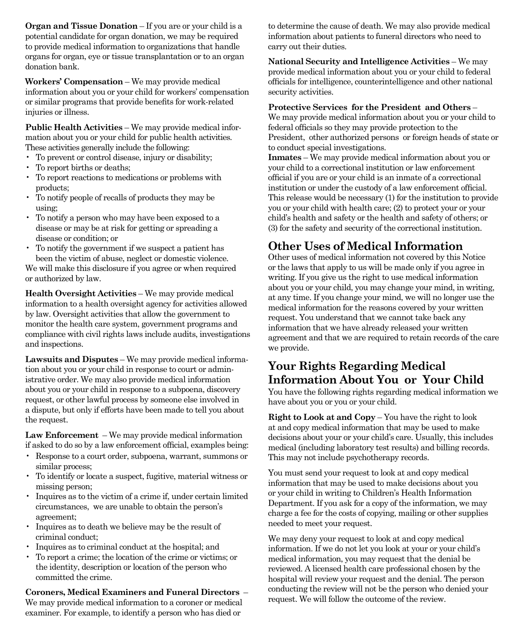**Organ and Tissue Donation** – If you are or your child is a potential candidate for organ donation, we may be required to provide medical information to organizations that handle organs for organ, eye or tissue transplantation or to an organ donation bank.

**Workers' Compensation** – We may provide medical information about you or your child for workers' compensation or similar programs that provide benefits for work-related injuries or illness.

**Public Health Activities** – We may provide medical information about you or your child for public health activities. These activities generally include the following:

- To prevent or control disease, injury or disability;
- To report births or deaths;
- To report reactions to medications or problems with products;
- To notify people of recalls of products they may be using;
- To notify a person who may have been exposed to a disease or may be at risk for getting or spreading a disease or condition; or
- To notify the government if we suspect a patient has been the victim of abuse, neglect or domestic violence.

We will make this disclosure if you agree or when required or authorized by law.

**Health Oversight Activities** – We may provide medical information to a health oversight agency for activities allowed by law. Oversight activities that allow the government to monitor the health care system, government programs and compliance with civil rights laws include audits, investigations and inspections.

**Lawsuits and Disputes** – We may provide medical information about you or your child in response to court or administrative order. We may also provide medical information about you or your child in response to a subpoena, discovery request, or other lawful process by someone else involved in a dispute, but only if efforts have been made to tell you about the request.

**Law Enforcement** – We may provide medical information if asked to do so by a law enforcement official, examples being:

- Response to a court order, subpoena, warrant, summons or similar process;
- To identify or locate a suspect, fugitive, material witness or missing person;
- Inquires as to the victim of a crime if, under certain limited circumstances, we are unable to obtain the person's agreement;
- Inquires as to death we believe may be the result of criminal conduct;
- Inquires as to criminal conduct at the hospital; and
- To report a crime; the location of the crime or victims; or the identity, description or location of the person who committed the crime.

**Coroners, Medical Examiners and Funeral Directors** – We may provide medical information to a coroner or medical examiner. For example, to identify a person who has died or

to determine the cause of death. We may also provide medical information about patients to funeral directors who need to carry out their duties.

**National Security and Intelligence Activities** – We may provide medical information about you or your child to federal officials for intelligence, counterintelligence and other national security activities.

#### **Protective Services for the President and Others** –

We may provide medical information about you or your child to federal officials so they may provide protection to the President, other authorized persons or foreign heads of state or to conduct special investigations.

**Inmates** – We may provide medical information about you or your child to a correctional institution or law enforcement official if you are or your child is an inmate of a correctional institution or under the custody of a law enforcement official. This release would be necessary (1) for the institution to provide you or your child with health care; (2) to protect your or your child's health and safety or the health and safety of others; or (3) for the safety and security of the correctional institution.

### **Other Uses of Medical Information**

Other uses of medical information not covered by this Notice or the laws that apply to us will be made only if you agree in writing. If you give us the right to use medical information about you or your child, you may change your mind, in writing, at any time. If you change your mind, we will no longer use the medical information for the reasons covered by your written request. You understand that we cannot take back any information that we have already released your written agreement and that we are required to retain records of the care we provide.

### **Your Rights Regarding Medical Information About You or Your Child**

You have the following rights regarding medical information we have about you or you or your child.

**Right to Look at and Copy** – You have the right to look at and copy medical information that may be used to make decisions about your or your child's care. Usually, this includes medical (including laboratory test results) and billing records. This may not include psychotherapy records.

You must send your request to look at and copy medical information that may be used to make decisions about you or your child in writing to Children's Health Information Department. If you ask for a copy of the information, we may charge a fee for the costs of copying, mailing or other supplies needed to meet your request.

We may deny your request to look at and copy medical information. If we do not let you look at your or your child's medical information, you may request that the denial be reviewed. A licensed health care professional chosen by the hospital will review your request and the denial. The person conducting the review will not be the person who denied your request. We will follow the outcome of the review.